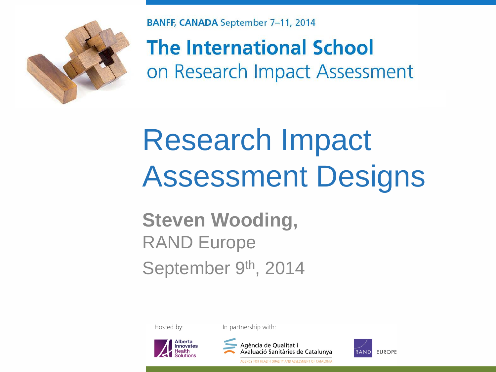

**BANFF, CANADA September 7-11, 2014** 

**The International School** on Research Impact Assessment

## Research Impact Assessment Designs

#### **Steven Wooding,**  RAND Europe September 9th, 2014

Hosted by:

In partnership with:





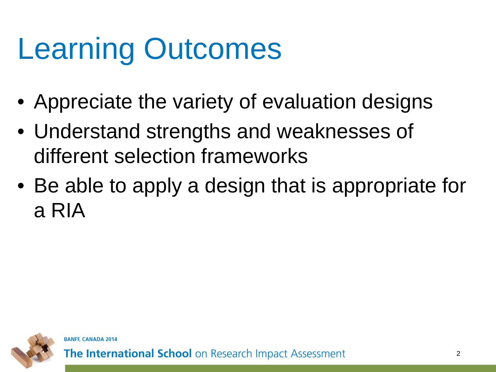# Learning Outcomes

- Appreciate the variety of evaluation designs
- Understand strengths and weaknesses of different selection frameworks
- Be able to apply a design that is appropriate for a RIA

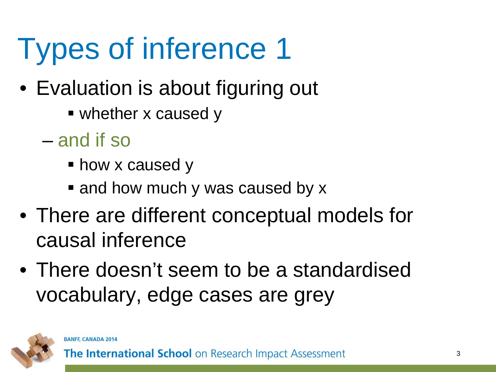# Types of inference 1

- Evaluation is about figuring out
	- whether x caused y
	- and if so
		- **how x caused y**
		- and how much y was caused by x
- There are different conceptual models for causal inference
- There doesn't seem to be a standardised vocabulary, edge cases are grey

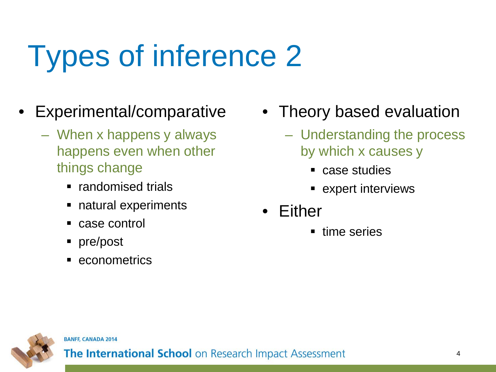# Types of inference 2

- Experimental/comparative
	- When x happens y always happens even when other things change
		- randomised trials
		- natural experiments
		- case control
		- pre/post
		- econometrics
- Theory based evaluation
	- Understanding the process by which x causes y
		- case studies
		- **Expert interviews**
- Either
	- **time series**



**BANFF, CANADA 2014**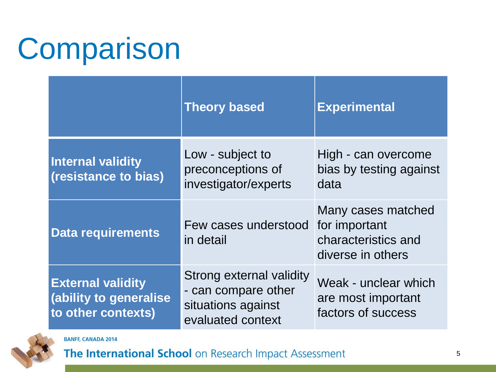## Comparison

|                                                                          | <b>Theory based</b>                                                                        | <b>Experimental</b>                                                             |
|--------------------------------------------------------------------------|--------------------------------------------------------------------------------------------|---------------------------------------------------------------------------------|
| <b>Internal validity</b><br>(resistance to bias)                         | Low - subject to<br>preconceptions of<br>investigator/experts                              | High - can overcome<br>bias by testing against<br>data                          |
| <b>Data requirements</b>                                                 | Few cases understood<br>in detail                                                          | Many cases matched<br>for important<br>characteristics and<br>diverse in others |
| <b>External validity</b><br>(ability to generalise<br>to other contexts) | Strong external validity<br>- can compare other<br>situations against<br>evaluated context | Weak - unclear which<br>are most important<br>factors of success                |



**BANFF, CANADA 2014**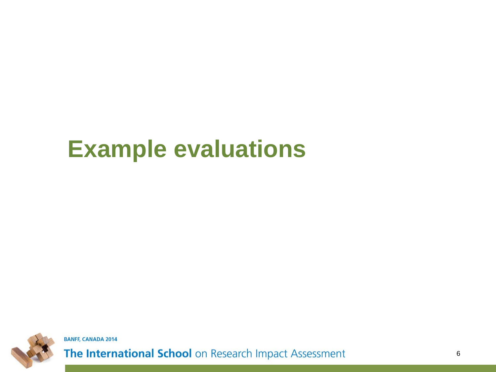#### **Example evaluations**



**BANFF, CANADA 2014**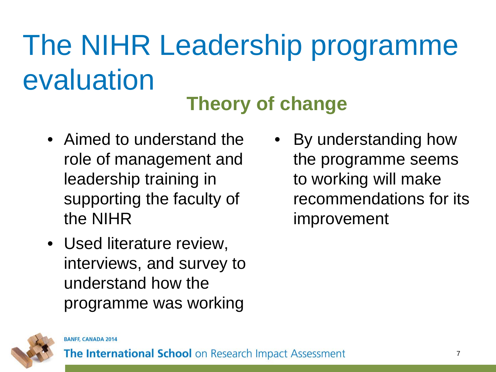# The NIHR Leadership programme evaluation

#### **Theory of change**

- Aimed to understand the role of management and leadership training in supporting the faculty of the NIHR
- Used literature review, interviews, and survey to understand how the programme was working
- By understanding how the programme seems to working will make recommendations for its improvement

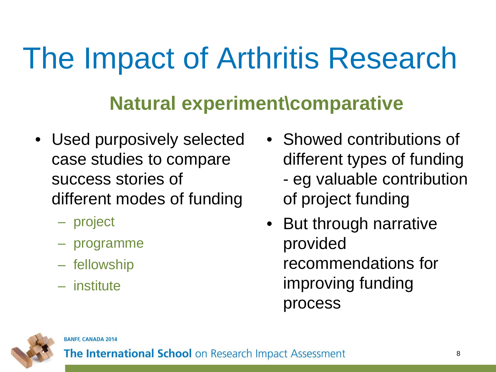## The Impact of Arthritis Research

#### **Natural experiment\comparative**

- Used purposively selected case studies to compare success stories of different modes of funding
	- project
	- programme
	- fellowship
	- institute
- Showed contributions of different types of funding - eg valuable contribution of project funding
- But through narrative provided recommendations for improving funding process



**BANFF, CANADA 2014**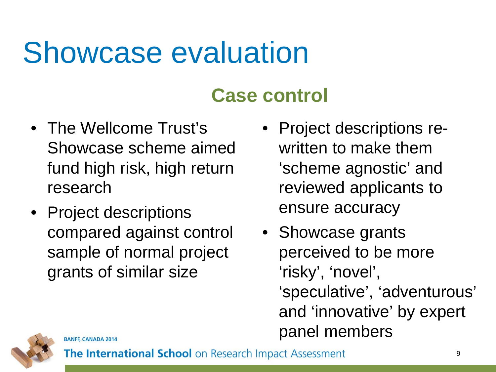### Showcase evaluation

#### **Case control**

- The Wellcome Trust's Showcase scheme aimed fund high risk, high return research
- Project descriptions compared against control sample of normal project grants of similar size
- Project descriptions rewritten to make them 'scheme agnostic' and reviewed applicants to ensure accuracy
- Showcase grants perceived to be more 'risky', 'novel', 'speculative', 'adventurous' and 'innovative' by expert panel members

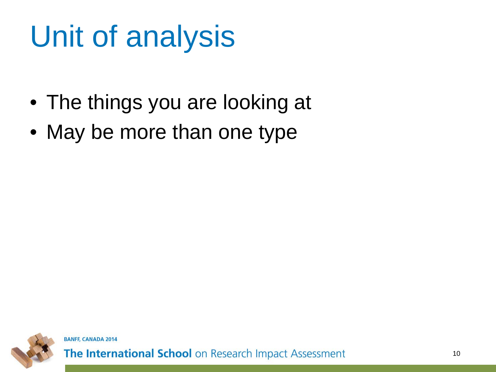# Unit of analysis

- The things you are looking at
- May be more than one type

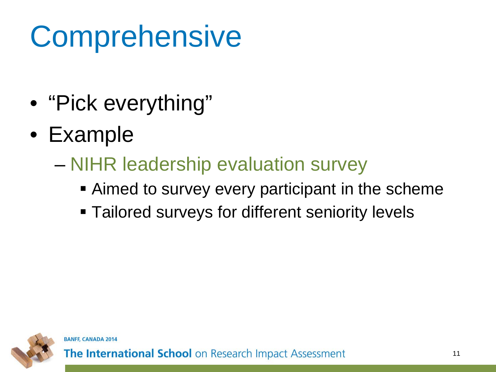# **Comprehensive**

- "Pick everything"
- Example
	- NIHR leadership evaluation survey
		- Aimed to survey every participant in the scheme
		- **Tailored surveys for different seniority levels**

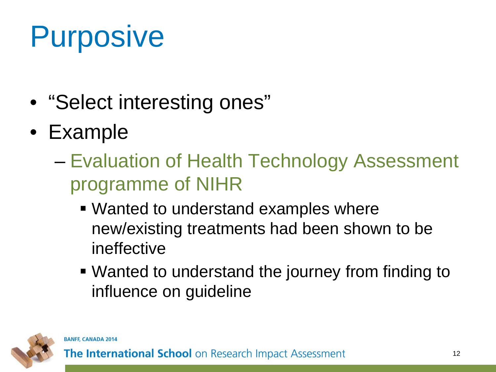# Purposive

- "Select interesting ones"
- Example
	- Evaluation of Health Technology Assessment programme of NIHR
		- Wanted to understand examples where new/existing treatments had been shown to be ineffective
		- Wanted to understand the journey from finding to influence on guideline

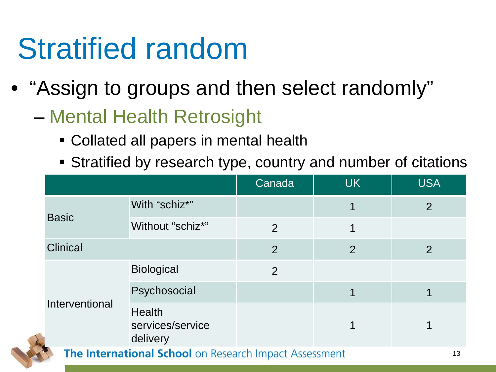## Stratified random

- "Assign to groups and then select randomly"
	- Mental Health Retrosight
		- Collated all papers in mental health
		- Stratified by research type, country and number of citations

|                                                        |                                               | Canada | <b>UK</b>      | <b>USA</b>     |
|--------------------------------------------------------|-----------------------------------------------|--------|----------------|----------------|
| <b>Basic</b>                                           | With "schiz*"                                 |        | 1              | $\overline{2}$ |
|                                                        | Without "schiz*"                              | 2      | 1              |                |
| <b>Clinical</b>                                        |                                               | 2      | $\overline{2}$ | $\overline{2}$ |
| Interventional                                         | <b>Biological</b>                             | 2      |                |                |
|                                                        | Psychosocial                                  |        |                |                |
|                                                        | <b>Health</b><br>services/service<br>delivery |        |                |                |
| The International School on Research Impact Assessment |                                               |        |                |                |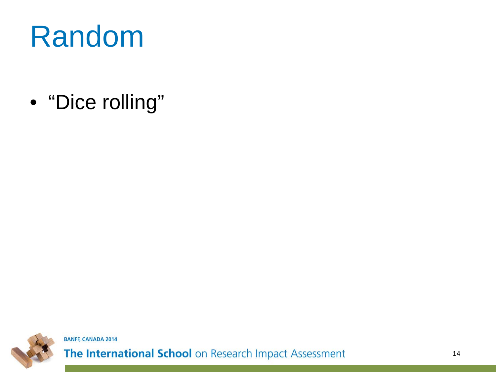#### Random

• "Dice rolling"



**BANFF, CANADA 2014**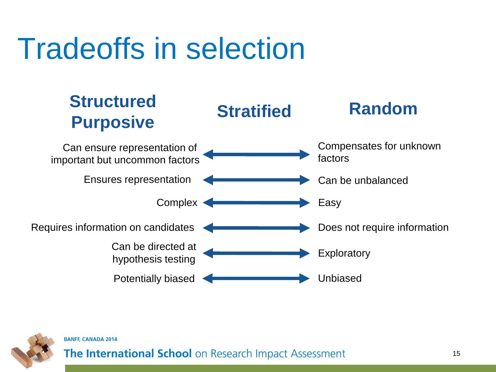## Tradeoffs in selection





#### **BANFF, CANADA 2014**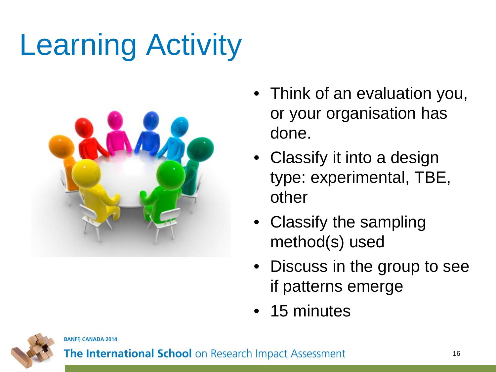# Learning Activity



- Think of an evaluation you, or your organisation has done.
- Classify it into a design type: experimental, TBE, other
- Classify the sampling method(s) used
- Discuss in the group to see if patterns emerge
- 15 minutes



**BANFF, CANADA 2014**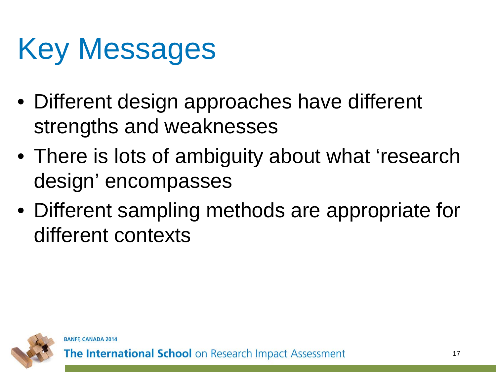# Key Messages

- Different design approaches have different strengths and weaknesses
- There is lots of ambiguity about what 'research design' encompasses
- Different sampling methods are appropriate for different contexts

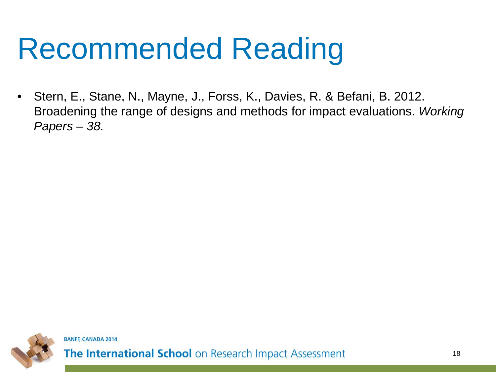## Recommended Reading

• Stern, E., Stane, N., Mayne, J., Forss, K., Davies, R. & Befani, B. 2012. Broadening the range of designs and methods for impact evaluations. *Working Papers – 38.*

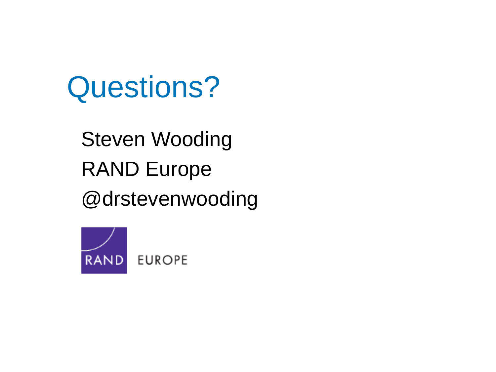#### Questions?

Steven Wooding RAND Europe @drstevenwooding